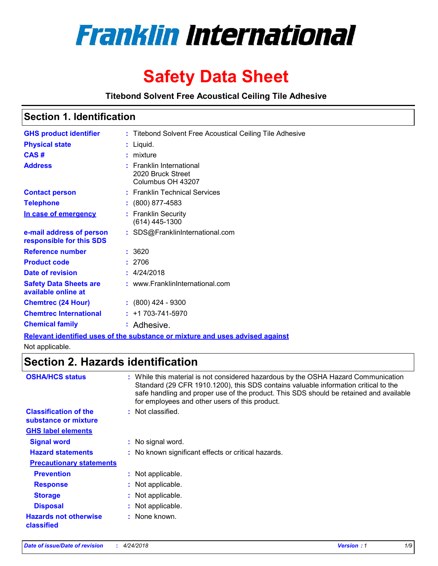

# **Safety Data Sheet**

**Titebond Solvent Free Acoustical Ceiling Tile Adhesive**

### **Section 1. Identification**

| <b>GHS product identifier</b>                        | : Titebond Solvent Free Acoustical Ceiling Tile Adhesive                      |
|------------------------------------------------------|-------------------------------------------------------------------------------|
| <b>Physical state</b>                                | : Liquid.                                                                     |
| CAS#                                                 | $:$ mixture                                                                   |
| <b>Address</b>                                       | : Franklin International<br>2020 Bruck Street<br>Columbus OH 43207            |
| <b>Contact person</b>                                | : Franklin Technical Services                                                 |
| <b>Telephone</b>                                     | $: (800) 877 - 4583$                                                          |
| In case of emergency                                 | : Franklin Security<br>$(614)$ 445-1300                                       |
| e-mail address of person<br>responsible for this SDS | : SDS@FranklinInternational.com                                               |
| Reference number                                     | : 3620                                                                        |
| <b>Product code</b>                                  | : 2706                                                                        |
| Date of revision                                     | : 4/24/2018                                                                   |
| <b>Safety Data Sheets are</b><br>available online at | : www.FranklinInternational.com                                               |
| <b>Chemtrec (24 Hour)</b>                            | $: (800)$ 424 - 9300                                                          |
| <b>Chemtrec International</b>                        | $: +1703 - 741 - 5970$                                                        |
| <b>Chemical family</b>                               | : Adhesive.                                                                   |
|                                                      | Relevant identified uses of the substance or mixture and uses advised against |

Not applicable.

## **Section 2. Hazards identification**

| <b>OSHA/HCS status</b>                               | : While this material is not considered hazardous by the OSHA Hazard Communication<br>Standard (29 CFR 1910.1200), this SDS contains valuable information critical to the<br>safe handling and proper use of the product. This SDS should be retained and available<br>for employees and other users of this product. |
|------------------------------------------------------|-----------------------------------------------------------------------------------------------------------------------------------------------------------------------------------------------------------------------------------------------------------------------------------------------------------------------|
| <b>Classification of the</b><br>substance or mixture | : Not classified.                                                                                                                                                                                                                                                                                                     |
| <b>GHS label elements</b>                            |                                                                                                                                                                                                                                                                                                                       |
| <b>Signal word</b>                                   | : No signal word.                                                                                                                                                                                                                                                                                                     |
| <b>Hazard statements</b>                             | : No known significant effects or critical hazards.                                                                                                                                                                                                                                                                   |
| <b>Precautionary statements</b>                      |                                                                                                                                                                                                                                                                                                                       |
| <b>Prevention</b>                                    | : Not applicable.                                                                                                                                                                                                                                                                                                     |
| <b>Response</b>                                      | : Not applicable.                                                                                                                                                                                                                                                                                                     |
| <b>Storage</b>                                       | : Not applicable.                                                                                                                                                                                                                                                                                                     |
| <b>Disposal</b>                                      | : Not applicable.                                                                                                                                                                                                                                                                                                     |
| <b>Hazards not otherwise</b><br>classified           | : None known.                                                                                                                                                                                                                                                                                                         |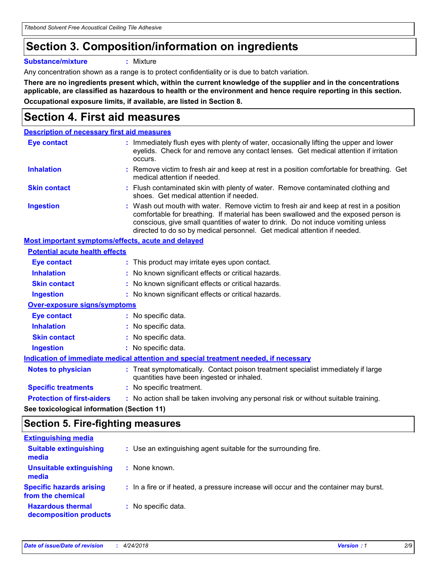*Titebond Solvent Free Acoustical Ceiling Tile Adhesive*

## **Section 3. Composition/information on ingredients**

**Substance/mixture :** Mixture

Any concentration shown as a range is to protect confidentiality or is due to batch variation.

**There are no ingredients present which, within the current knowledge of the supplier and in the concentrations applicable, are classified as hazardous to health or the environment and hence require reporting in this section. Occupational exposure limits, if available, are listed in Section 8.**

## **Section 4. First aid measures**

| <b>Description of necessary first aid measures</b>        |                                                                                                                                                                                                                                                                                                                                                |
|-----------------------------------------------------------|------------------------------------------------------------------------------------------------------------------------------------------------------------------------------------------------------------------------------------------------------------------------------------------------------------------------------------------------|
| <b>Eye contact</b>                                        | : Immediately flush eyes with plenty of water, occasionally lifting the upper and lower<br>eyelids. Check for and remove any contact lenses. Get medical attention if irritation<br>occurs.                                                                                                                                                    |
| <b>Inhalation</b>                                         | : Remove victim to fresh air and keep at rest in a position comfortable for breathing. Get<br>medical attention if needed.                                                                                                                                                                                                                     |
| <b>Skin contact</b>                                       | : Flush contaminated skin with plenty of water. Remove contaminated clothing and<br>shoes. Get medical attention if needed.                                                                                                                                                                                                                    |
| <b>Ingestion</b>                                          | : Wash out mouth with water. Remove victim to fresh air and keep at rest in a position<br>comfortable for breathing. If material has been swallowed and the exposed person is<br>conscious, give small quantities of water to drink. Do not induce vomiting unless<br>directed to do so by medical personnel. Get medical attention if needed. |
| <b>Most important symptoms/effects, acute and delayed</b> |                                                                                                                                                                                                                                                                                                                                                |
| <b>Potential acute health effects</b>                     |                                                                                                                                                                                                                                                                                                                                                |
| <b>Eye contact</b>                                        | : This product may irritate eyes upon contact.                                                                                                                                                                                                                                                                                                 |
| <b>Inhalation</b>                                         | : No known significant effects or critical hazards.                                                                                                                                                                                                                                                                                            |
| <b>Skin contact</b>                                       | : No known significant effects or critical hazards.                                                                                                                                                                                                                                                                                            |
| <b>Ingestion</b>                                          | : No known significant effects or critical hazards.                                                                                                                                                                                                                                                                                            |
| <b>Over-exposure signs/symptoms</b>                       |                                                                                                                                                                                                                                                                                                                                                |
| Eye contact                                               | : No specific data.                                                                                                                                                                                                                                                                                                                            |
| <b>Inhalation</b>                                         | : No specific data.                                                                                                                                                                                                                                                                                                                            |
| <b>Skin contact</b>                                       | : No specific data.                                                                                                                                                                                                                                                                                                                            |
| <b>Ingestion</b>                                          | : No specific data.                                                                                                                                                                                                                                                                                                                            |
|                                                           | Indication of immediate medical attention and special treatment needed, if necessary                                                                                                                                                                                                                                                           |
| <b>Notes to physician</b>                                 | : Treat symptomatically. Contact poison treatment specialist immediately if large<br>quantities have been ingested or inhaled.                                                                                                                                                                                                                 |
| <b>Specific treatments</b>                                | : No specific treatment.                                                                                                                                                                                                                                                                                                                       |
| <b>Protection of first-aiders</b>                         | : No action shall be taken involving any personal risk or without suitable training.                                                                                                                                                                                                                                                           |
|                                                           |                                                                                                                                                                                                                                                                                                                                                |

**See toxicological information (Section 11)**

### **Section 5. Fire-fighting measures**

| <b>Extinguishing media</b>                           |                                                                                       |
|------------------------------------------------------|---------------------------------------------------------------------------------------|
| <b>Suitable extinguishing</b><br>media               | : Use an extinguishing agent suitable for the surrounding fire.                       |
| <b>Unsuitable extinguishing</b><br>media             | : None known.                                                                         |
| <b>Specific hazards arising</b><br>from the chemical | : In a fire or if heated, a pressure increase will occur and the container may burst. |
| <b>Hazardous thermal</b><br>decomposition products   | : No specific data.                                                                   |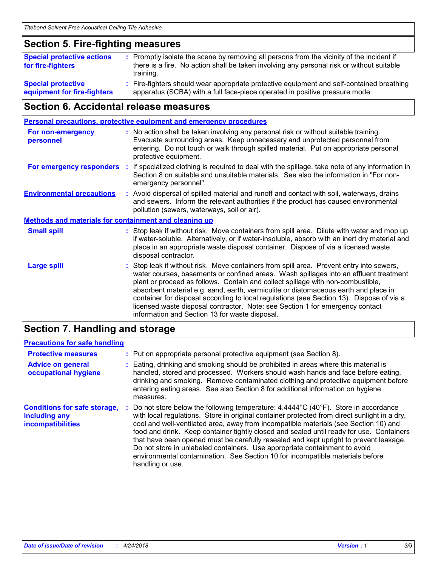### **Section 5. Fire-fighting measures**

| <b>Special protective actions</b><br>for fire-fighters   | : Promptly isolate the scene by removing all persons from the vicinity of the incident if<br>there is a fire. No action shall be taken involving any personal risk or without suitable<br>training. |
|----------------------------------------------------------|-----------------------------------------------------------------------------------------------------------------------------------------------------------------------------------------------------|
| <b>Special protective</b><br>equipment for fire-fighters | : Fire-fighters should wear appropriate protective equipment and self-contained breathing<br>apparatus (SCBA) with a full face-piece operated in positive pressure mode.                            |

### **Section 6. Accidental release measures**

|                                                              |    | <b>Personal precautions, protective equipment and emergency procedures</b>                                                                                                                                                                                                                                                                                                                                                                                                                                                                                                                 |
|--------------------------------------------------------------|----|--------------------------------------------------------------------------------------------------------------------------------------------------------------------------------------------------------------------------------------------------------------------------------------------------------------------------------------------------------------------------------------------------------------------------------------------------------------------------------------------------------------------------------------------------------------------------------------------|
| <b>For non-emergency</b><br>personnel                        |    | : No action shall be taken involving any personal risk or without suitable training.<br>Evacuate surrounding areas. Keep unnecessary and unprotected personnel from<br>entering. Do not touch or walk through spilled material. Put on appropriate personal<br>protective equipment.                                                                                                                                                                                                                                                                                                       |
| For emergency responders                                     | ÷. | If specialized clothing is required to deal with the spillage, take note of any information in<br>Section 8 on suitable and unsuitable materials. See also the information in "For non-<br>emergency personnel".                                                                                                                                                                                                                                                                                                                                                                           |
| <b>Environmental precautions</b>                             |    | : Avoid dispersal of spilled material and runoff and contact with soil, waterways, drains<br>and sewers. Inform the relevant authorities if the product has caused environmental<br>pollution (sewers, waterways, soil or air).                                                                                                                                                                                                                                                                                                                                                            |
| <b>Methods and materials for containment and cleaning up</b> |    |                                                                                                                                                                                                                                                                                                                                                                                                                                                                                                                                                                                            |
| <b>Small spill</b>                                           |    | : Stop leak if without risk. Move containers from spill area. Dilute with water and mop up<br>if water-soluble. Alternatively, or if water-insoluble, absorb with an inert dry material and<br>place in an appropriate waste disposal container. Dispose of via a licensed waste<br>disposal contractor.                                                                                                                                                                                                                                                                                   |
| <b>Large spill</b>                                           |    | : Stop leak if without risk. Move containers from spill area. Prevent entry into sewers,<br>water courses, basements or confined areas. Wash spillages into an effluent treatment<br>plant or proceed as follows. Contain and collect spillage with non-combustible,<br>absorbent material e.g. sand, earth, vermiculite or diatomaceous earth and place in<br>container for disposal according to local regulations (see Section 13). Dispose of via a<br>licensed waste disposal contractor. Note: see Section 1 for emergency contact<br>information and Section 13 for waste disposal. |
|                                                              |    |                                                                                                                                                                                                                                                                                                                                                                                                                                                                                                                                                                                            |

### **Section 7. Handling and storage**

#### **Precautions for safe handling**

| <b>Protective measures</b>                                                       | : Put on appropriate personal protective equipment (see Section 8).                                                                                                                                                                                                                                                                                                                                                                                                                                                                                                                                                                                                |
|----------------------------------------------------------------------------------|--------------------------------------------------------------------------------------------------------------------------------------------------------------------------------------------------------------------------------------------------------------------------------------------------------------------------------------------------------------------------------------------------------------------------------------------------------------------------------------------------------------------------------------------------------------------------------------------------------------------------------------------------------------------|
| <b>Advice on general</b><br>occupational hygiene                                 | Eating, drinking and smoking should be prohibited in areas where this material is<br>handled, stored and processed. Workers should wash hands and face before eating,<br>drinking and smoking. Remove contaminated clothing and protective equipment before<br>entering eating areas. See also Section 8 for additional information on hygiene<br>measures.                                                                                                                                                                                                                                                                                                        |
| <b>Conditions for safe storage,</b><br>including any<br><b>incompatibilities</b> | Do not store below the following temperature: $4.4444^{\circ}C(40^{\circ}F)$ . Store in accordance<br>with local regulations. Store in original container protected from direct sunlight in a dry,<br>cool and well-ventilated area, away from incompatible materials (see Section 10) and<br>food and drink. Keep container tightly closed and sealed until ready for use. Containers<br>that have been opened must be carefully resealed and kept upright to prevent leakage.<br>Do not store in unlabeled containers. Use appropriate containment to avoid<br>environmental contamination. See Section 10 for incompatible materials before<br>handling or use. |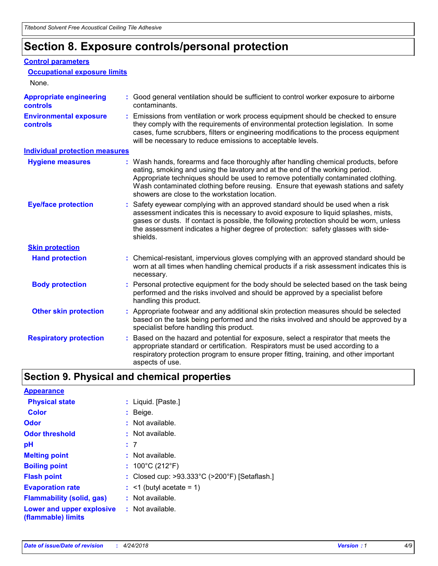## **Section 8. Exposure controls/personal protection**

#### **Control parameters**

| <b>Occupational exposure limits</b>               |                                                                                                                                                                                                                                                                                                                                                                                                   |
|---------------------------------------------------|---------------------------------------------------------------------------------------------------------------------------------------------------------------------------------------------------------------------------------------------------------------------------------------------------------------------------------------------------------------------------------------------------|
| None.                                             |                                                                                                                                                                                                                                                                                                                                                                                                   |
| <b>Appropriate engineering</b><br><b>controls</b> | : Good general ventilation should be sufficient to control worker exposure to airborne<br>contaminants.                                                                                                                                                                                                                                                                                           |
| <b>Environmental exposure</b><br><b>controls</b>  | : Emissions from ventilation or work process equipment should be checked to ensure<br>they comply with the requirements of environmental protection legislation. In some<br>cases, fume scrubbers, filters or engineering modifications to the process equipment<br>will be necessary to reduce emissions to acceptable levels.                                                                   |
| <b>Individual protection measures</b>             |                                                                                                                                                                                                                                                                                                                                                                                                   |
| <b>Hygiene measures</b>                           | : Wash hands, forearms and face thoroughly after handling chemical products, before<br>eating, smoking and using the lavatory and at the end of the working period.<br>Appropriate techniques should be used to remove potentially contaminated clothing.<br>Wash contaminated clothing before reusing. Ensure that eyewash stations and safety<br>showers are close to the workstation location. |
| <b>Eye/face protection</b>                        | : Safety eyewear complying with an approved standard should be used when a risk<br>assessment indicates this is necessary to avoid exposure to liquid splashes, mists,<br>gases or dusts. If contact is possible, the following protection should be worn, unless<br>the assessment indicates a higher degree of protection: safety glasses with side-<br>shields.                                |
| <b>Skin protection</b>                            |                                                                                                                                                                                                                                                                                                                                                                                                   |
| <b>Hand protection</b>                            | : Chemical-resistant, impervious gloves complying with an approved standard should be<br>worn at all times when handling chemical products if a risk assessment indicates this is<br>necessary.                                                                                                                                                                                                   |
| <b>Body protection</b>                            | : Personal protective equipment for the body should be selected based on the task being<br>performed and the risks involved and should be approved by a specialist before<br>handling this product.                                                                                                                                                                                               |
| <b>Other skin protection</b>                      | : Appropriate footwear and any additional skin protection measures should be selected<br>based on the task being performed and the risks involved and should be approved by a<br>specialist before handling this product.                                                                                                                                                                         |
| <b>Respiratory protection</b>                     | Based on the hazard and potential for exposure, select a respirator that meets the<br>appropriate standard or certification. Respirators must be used according to a<br>respiratory protection program to ensure proper fitting, training, and other important<br>aspects of use.                                                                                                                 |

## **Section 9. Physical and chemical properties**

| <b>Appearance</b>                                                       |                                                                    |
|-------------------------------------------------------------------------|--------------------------------------------------------------------|
| <b>Physical state</b>                                                   | : Liquid. [Paste.]                                                 |
| <b>Color</b>                                                            | $:$ Beige.                                                         |
| <b>Odor</b>                                                             | $:$ Not available.                                                 |
| <b>Odor threshold</b>                                                   | $:$ Not available.                                                 |
| рH                                                                      | :7                                                                 |
| <b>Melting point</b>                                                    | $:$ Not available.                                                 |
| <b>Boiling point</b>                                                    | : $100^{\circ}$ C (212 $^{\circ}$ F)                               |
| <b>Flash point</b>                                                      | : Closed cup: $>93.333^{\circ}$ C ( $>200^{\circ}$ F) [Setaflash.] |
| <b>Evaporation rate</b>                                                 | $:$ <1 (butyl acetate = 1)                                         |
| <b>Flammability (solid, gas)</b>                                        | $:$ Not available.                                                 |
| <b>Lower and upper explosive : Not available.</b><br>(flammable) limits |                                                                    |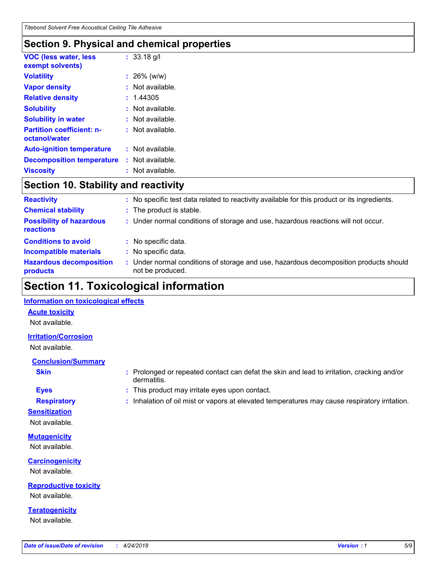## **Section 9. Physical and chemical properties**

| <b>VOC (less water, less</b><br>exempt solvents)  |    | $: 33.18$ g/l      |
|---------------------------------------------------|----|--------------------|
| <b>Volatility</b>                                 |    | $: 26\%$ (w/w)     |
| <b>Vapor density</b>                              |    | Not available.     |
| <b>Relative density</b>                           |    | : 1.44305          |
| <b>Solubility</b>                                 |    | Not available.     |
| <b>Solubility in water</b>                        |    | Not available.     |
| <b>Partition coefficient: n-</b><br>octanol/water |    | $:$ Not available. |
| <b>Auto-ignition temperature</b>                  |    | : Not available.   |
| <b>Decomposition temperature</b>                  | t. | Not available.     |
| Viscositv                                         |    | Not available.     |

### **Section 10. Stability and reactivity**

| <b>Reactivity</b>                            |    | No specific test data related to reactivity available for this product or its ingredients.              |
|----------------------------------------------|----|---------------------------------------------------------------------------------------------------------|
| <b>Chemical stability</b>                    | ÷. | The product is stable.                                                                                  |
| <b>Possibility of hazardous</b><br>reactions |    | : Under normal conditions of storage and use, hazardous reactions will not occur.                       |
| <b>Conditions to avoid</b>                   |    | : No specific data.                                                                                     |
| <b>Incompatible materials</b>                |    | No specific data.                                                                                       |
| <b>Hazardous decomposition</b><br>products   |    | Under normal conditions of storage and use, hazardous decomposition products should<br>not be produced. |

## **Section 11. Toxicological information**

#### **Information on toxicological effects**

#### **Acute toxicity**

Not available.

#### **Irritation/Corrosion**

Not available.

#### **Conclusion/Summary**

- 
- **Sensitization**

Not available.

## **Mutagenicity**

Not available.

#### **Carcinogenicity** Not available.

**Reproductive toxicity** Not available.

**Teratogenicity** Not available.

- **Skin Example 3 :** Prolonged or repeated contact can defat the skin and lead to irritation, cracking and/or dermatitis.
- **Eyes :** This product may irritate eyes upon contact.
- **Respiratory :** Inhalation of oil mist or vapors at elevated temperatures may cause respiratory irritation.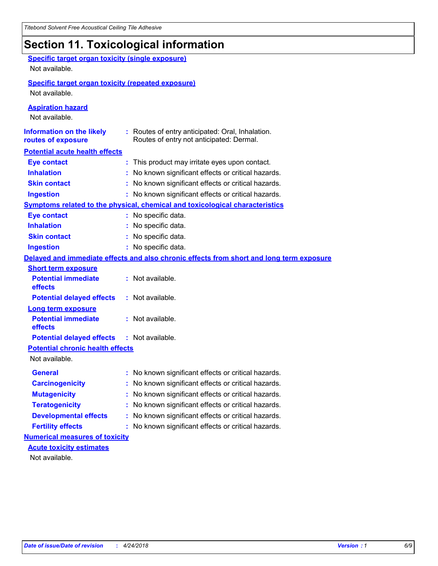## **Section 11. Toxicological information**

| <b>Specific target organ toxicity (single exposure)</b><br>Not available.   |                                                                                              |
|-----------------------------------------------------------------------------|----------------------------------------------------------------------------------------------|
| <b>Specific target organ toxicity (repeated exposure)</b><br>Not available. |                                                                                              |
| <b>Aspiration hazard</b><br>Not available.                                  |                                                                                              |
| <b>Information on the likely</b><br>routes of exposure                      | : Routes of entry anticipated: Oral, Inhalation.<br>Routes of entry not anticipated: Dermal. |
| <b>Potential acute health effects</b>                                       |                                                                                              |
| <b>Eye contact</b>                                                          | : This product may irritate eyes upon contact.                                               |
| <b>Inhalation</b>                                                           | : No known significant effects or critical hazards.                                          |
| <b>Skin contact</b>                                                         | : No known significant effects or critical hazards.                                          |
| <b>Ingestion</b>                                                            | : No known significant effects or critical hazards.                                          |
|                                                                             | Symptoms related to the physical, chemical and toxicological characteristics                 |
| <b>Eye contact</b>                                                          | : No specific data.                                                                          |
| <b>Inhalation</b>                                                           | : No specific data.                                                                          |
| <b>Skin contact</b>                                                         | No specific data.                                                                            |
| <b>Ingestion</b>                                                            | : No specific data.                                                                          |
|                                                                             | Delayed and immediate effects and also chronic effects from short and long term exposure     |
| <b>Short term exposure</b>                                                  |                                                                                              |
| <b>Potential immediate</b><br>effects                                       | : Not available.                                                                             |
| <b>Potential delayed effects</b>                                            | : Not available.                                                                             |
| <b>Long term exposure</b>                                                   |                                                                                              |
| <b>Potential immediate</b><br>effects                                       | : Not available.                                                                             |
| <b>Potential delayed effects</b>                                            | : Not available.                                                                             |
| <b>Potential chronic health effects</b>                                     |                                                                                              |
| Not available.                                                              |                                                                                              |
| General                                                                     | : No known significant effects or critical hazards.                                          |
| <b>Carcinogenicity</b>                                                      | No known significant effects or critical hazards.                                            |
| <b>Mutagenicity</b>                                                         | No known significant effects or critical hazards.                                            |
| <b>Teratogenicity</b>                                                       | No known significant effects or critical hazards.                                            |
| <b>Developmental effects</b>                                                | No known significant effects or critical hazards.                                            |
| <b>Fertility effects</b>                                                    | No known significant effects or critical hazards.                                            |
| <b>Numerical measures of toxicity</b>                                       |                                                                                              |
| <b>Acute toxicity estimates</b>                                             |                                                                                              |
| Not available.                                                              |                                                                                              |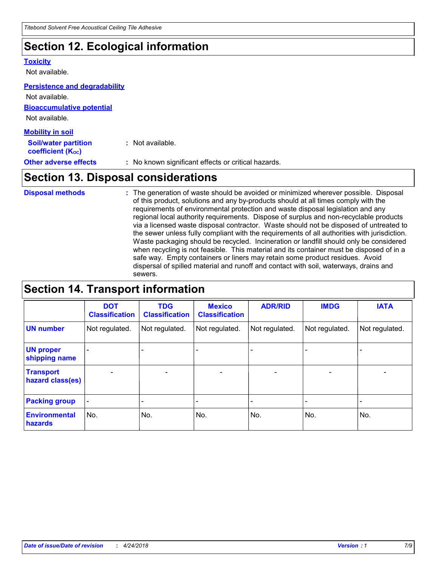## **Section 12. Ecological information**

#### **Toxicity**

Not available.

#### **Persistence and degradability**

**Bioaccumulative potential** Not available. **Mobility in soil** Not available.

| <b>Soil/water partition</b>         | : Not available.                                    |
|-------------------------------------|-----------------------------------------------------|
| <b>coefficient (K<sub>oc</sub>)</b> |                                                     |
| <b>Other adverse effects</b>        | : No known significant effects or critical hazards. |

## **Section 13. Disposal considerations**

The generation of waste should be avoided or minimized wherever possible. Disposal of this product, solutions and any by-products should at all times comply with the requirements of environmental protection and waste disposal legislation and any regional local authority requirements. Dispose of surplus and non-recyclable products via a licensed waste disposal contractor. Waste should not be disposed of untreated to the sewer unless fully compliant with the requirements of all authorities with jurisdiction. Waste packaging should be recycled. Incineration or landfill should only be considered when recycling is not feasible. This material and its container must be disposed of in a safe way. Empty containers or liners may retain some product residues. Avoid dispersal of spilled material and runoff and contact with soil, waterways, drains and sewers. **Disposal methods :**

## **Section 14. Transport information**

|                                      | <b>DOT</b><br><b>Classification</b> | <b>TDG</b><br><b>Classification</b> | <b>Mexico</b><br><b>Classification</b> | <b>ADR/RID</b>               | <b>IMDG</b>              | <b>IATA</b>    |
|--------------------------------------|-------------------------------------|-------------------------------------|----------------------------------------|------------------------------|--------------------------|----------------|
| <b>UN number</b>                     | Not regulated.                      | Not regulated.                      | Not regulated.                         | Not regulated.               | Not regulated.           | Not regulated. |
| <b>UN proper</b><br>shipping name    |                                     |                                     |                                        |                              |                          |                |
| <b>Transport</b><br>hazard class(es) | $\overline{\phantom{0}}$            | $\overline{\phantom{0}}$            | $\overline{\phantom{0}}$               | $\qquad \qquad \blacksquare$ | $\overline{\phantom{0}}$ | $\blacksquare$ |
| <b>Packing group</b>                 | -                                   |                                     |                                        |                              |                          |                |
| <b>Environmental</b><br>hazards      | No.                                 | No.                                 | No.                                    | No.                          | No.                      | No.            |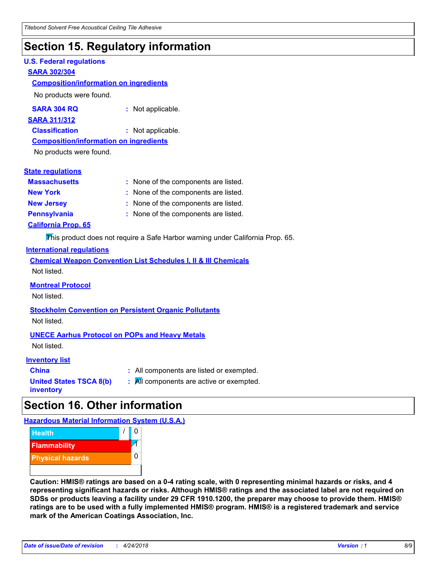## **Section 15. Regulatory information**

#### **U.S. Federal regulations**

#### **SARA 302/304**

#### **Composition/information on ingredients**

No products were found.

| SARA 304 RQ | : Not applicable. |
|-------------|-------------------|
|-------------|-------------------|

#### **SARA 311/312**

**Classification :** Not applicable.

#### **Composition/information on ingredients**

No products were found.

#### **State regulations**

| <b>Massachusetts</b>       | : None of the components are listed. |
|----------------------------|--------------------------------------|
| <b>New York</b>            | : None of the components are listed. |
| <b>New Jersey</b>          | : None of the components are listed. |
| <b>Pennsylvania</b>        | : None of the components are listed. |
| <b>California Prop. 65</b> |                                      |

This product does not require a Safe Harbor warning under California Prop. 65.

#### **International regulations**

|             |  |  | <b>Chemical Weapon Convention List Schedules I, II &amp; III Chemicals</b> |  |
|-------------|--|--|----------------------------------------------------------------------------|--|
| Not listed. |  |  |                                                                            |  |

#### **Montreal Protocol**

Not listed.

## **Stockholm Convention on Persistent Organic Pollutants**

Not listed.

#### **UNECE Aarhus Protocol on POPs and Heavy Metals**

Not listed.

#### **Inventory list**

| <b>China</b>            |  |
|-------------------------|--|
| United States TSCA 8(b) |  |
| inventory               |  |

**:** All components are listed or exempted. **:** All components are active or exempted.

## **Section 16. Other information**

**Hazardous Material Information System (U.S.A.)**



**Caution: HMIS® ratings are based on a 0-4 rating scale, with 0 representing minimal hazards or risks, and 4 representing significant hazards or risks. Although HMIS® ratings and the associated label are not required on SDSs or products leaving a facility under 29 CFR 1910.1200, the preparer may choose to provide them. HMIS® ratings are to be used with a fully implemented HMIS® program. HMIS® is a registered trademark and service mark of the American Coatings Association, Inc.**